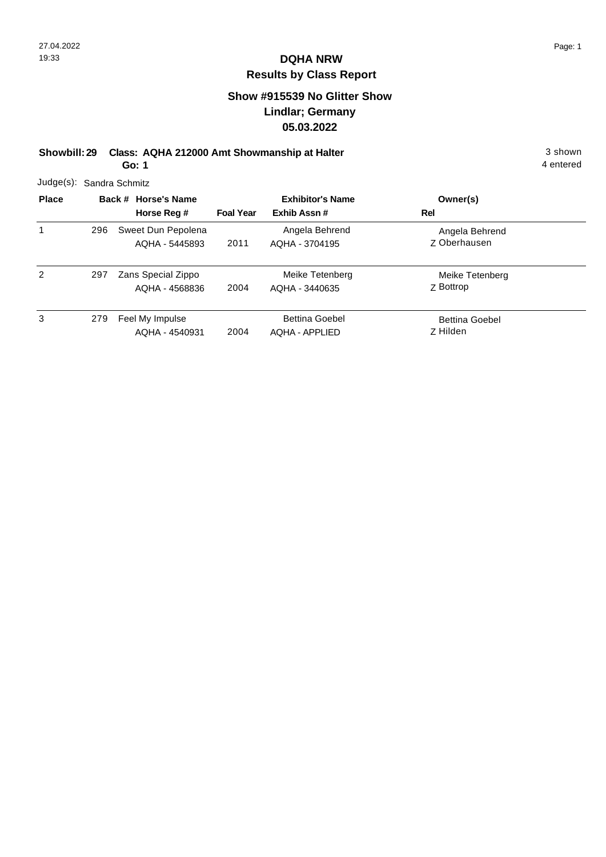#### **Show #915539 No Glitter Show Lindlar; Germany 05.03.2022**

**Showbill: 29 Class: AQHA 212000 Amt Showmanship at Halter** 3 shown

**Go: 1**

|              | Judge(s): Sandra Schmitz |                                      |                         |                                                |                                       |  |  |  |  |
|--------------|--------------------------|--------------------------------------|-------------------------|------------------------------------------------|---------------------------------------|--|--|--|--|
| <b>Place</b> | Back # Horse's Name      |                                      | <b>Exhibitor's Name</b> |                                                | Owner(s)                              |  |  |  |  |
|              |                          | Horse Reg #                          | <b>Foal Year</b>        | Exhib Assn#                                    | Rel                                   |  |  |  |  |
| 1            | 296                      | Sweet Dun Pepolena<br>AQHA - 5445893 | 2011                    | Angela Behrend<br>AQHA - 3704195               | Angela Behrend<br><b>Z</b> Oberhausen |  |  |  |  |
| 2            | 297                      | Zans Special Zippo<br>AQHA - 4568836 | 2004                    | Meike Tetenberg<br>AQHA - 3440635              | Meike Tetenberg<br>Z Bottrop          |  |  |  |  |
| 3            | 279                      | Feel My Impulse<br>AQHA - 4540931    | 2004                    | <b>Bettina Goebel</b><br><b>AQHA - APPLIED</b> | <b>Bettina Goebel</b><br>Z Hilden     |  |  |  |  |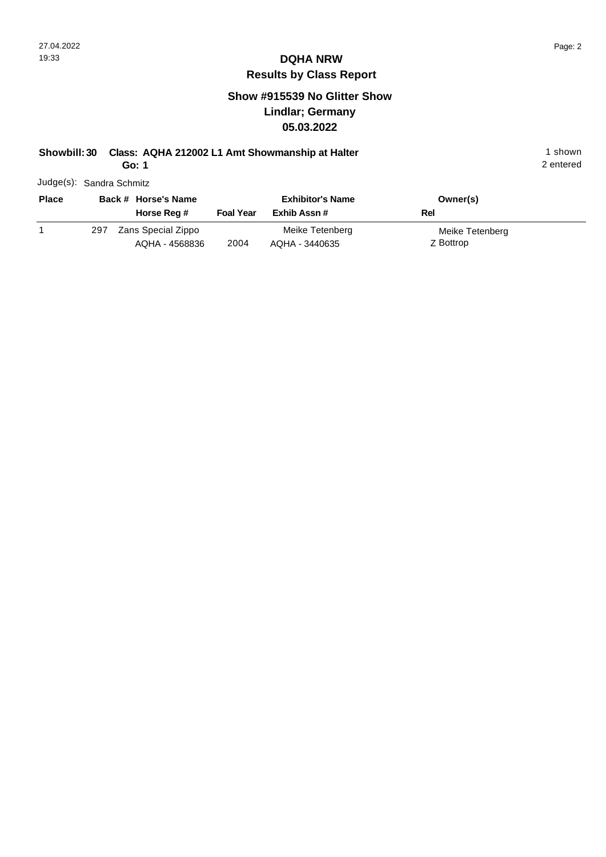#### **Show #915539 No Glitter Show Lindlar; Germany 05.03.2022**

## **Showbill: 30 Class: AQHA 212002 L1 Amt Showmanship at Halter** 1 **Shown** 1 shown

**Go: 1**

| <b>Place</b> | Back # Horse's Name |                                      |                  | <b>Exhibitor's Name</b>           | Owner(s)                     |
|--------------|---------------------|--------------------------------------|------------------|-----------------------------------|------------------------------|
|              |                     | Horse Reg #                          | <b>Foal Year</b> | Exhib Assn #                      | Rel                          |
|              | 297                 | Zans Special Zippo<br>AQHA - 4568836 | 2004             | Meike Tetenberg<br>AQHA - 3440635 | Meike Tetenberg<br>Z Bottrop |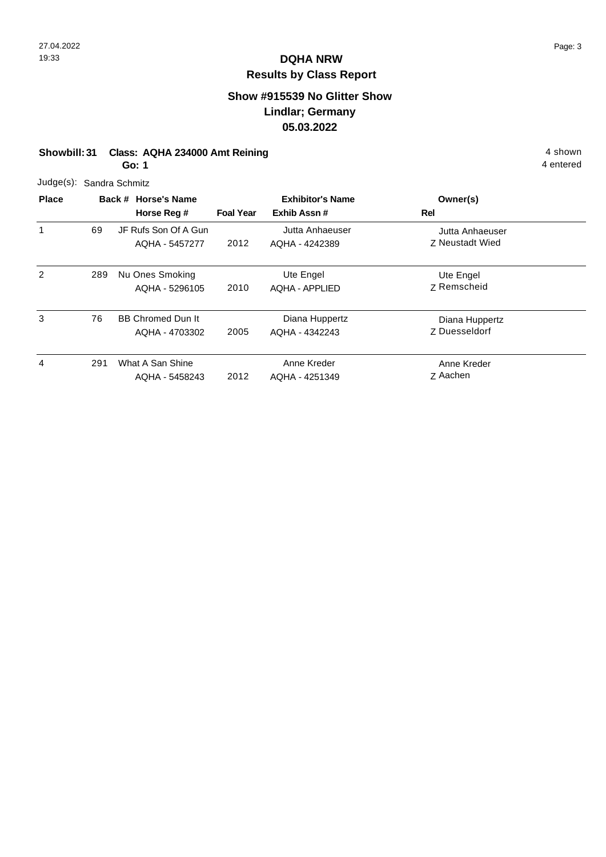### **Show #915539 No Glitter Show Lindlar; Germany 05.03.2022**

|  | Showbill: 31 Class: AQHA 234000 Amt Reining | 4 shown |
|--|---------------------------------------------|---------|
|--|---------------------------------------------|---------|

**Go: 1**

| Judge(s): Sandra Schmitz |
|--------------------------|
|                          |

| <b>Place</b> | Back # Horse's Name |                                            | <b>Exhibitor's Name</b> |                                    | Owner(s)                                  |  |
|--------------|---------------------|--------------------------------------------|-------------------------|------------------------------------|-------------------------------------------|--|
|              |                     | Horse Reg #                                | <b>Foal Year</b>        | Exhib Assn#                        | Rel                                       |  |
| 1            | 69                  | JF Rufs Son Of A Gun<br>AQHA - 5457277     | 2012                    | Jutta Anhaeuser<br>AQHA - 4242389  | Jutta Anhaeuser<br><b>Z</b> Neustadt Wied |  |
| 2            | 289                 | Nu Ones Smoking<br>AQHA - 5296105          | 2010                    | Ute Engel<br><b>AQHA - APPLIED</b> | Ute Engel<br>Z Remscheid                  |  |
| 3            | 76                  | <b>BB Chromed Dun It</b><br>AQHA - 4703302 | 2005                    | Diana Huppertz<br>AQHA - 4342243   | Diana Huppertz<br>Z Duesseldorf           |  |
| 4            | 291                 | What A San Shine<br>AQHA - 5458243         | 2012                    | Anne Kreder<br>AQHA - 4251349      | Anne Kreder<br>Z Aachen                   |  |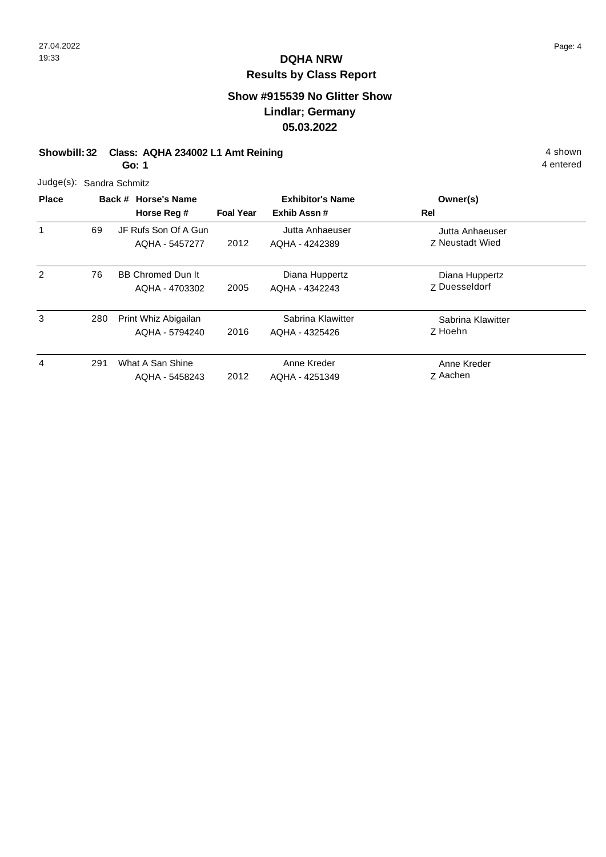### **Show #915539 No Glitter Show Lindlar; Germany 05.03.2022**

#### **Showbill: 32 Class: AQHA 234002 L1 Amt Reining 4 shown 4 shown**

**Go: 1**

| Judge(s): Sandra Schmitz |  |  |
|--------------------------|--|--|
|                          |  |  |

| <b>Place</b> |     | Back # Horse's Name                        | <b>Exhibitor's Name</b> |                                     | Owner(s)                                  |  |
|--------------|-----|--------------------------------------------|-------------------------|-------------------------------------|-------------------------------------------|--|
|              |     | Horse Reg #                                | <b>Foal Year</b>        | Exhib Assn #                        | Rel                                       |  |
| 1            | 69  | JF Rufs Son Of A Gun<br>AQHA - 5457277     | 2012                    | Jutta Anhaeuser<br>AQHA - 4242389   | Jutta Anhaeuser<br><b>7 Neustadt Wied</b> |  |
| 2            | 76  | <b>BB Chromed Dun It</b><br>AQHA - 4703302 | 2005                    | Diana Huppertz<br>AQHA - 4342243    | Diana Huppertz<br><b>Z</b> Duesseldorf    |  |
| 3            | 280 | Print Whiz Abigailan<br>AQHA - 5794240     | 2016                    | Sabrina Klawitter<br>AQHA - 4325426 | Sabrina Klawitter<br>Z Hoehn              |  |
| 4            | 291 | What A San Shine<br>AQHA - 5458243         | 2012                    | Anne Kreder<br>AQHA - 4251349       | Anne Kreder<br>Z Aachen                   |  |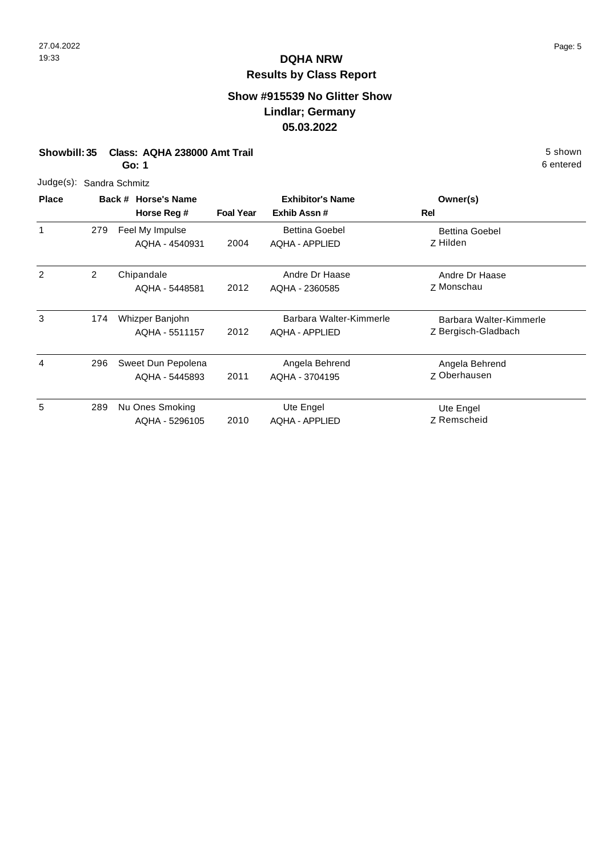## **Show #915539 No Glitter Show Lindlar; Germany 05.03.2022**

| Showbill: 35 Class: AQHA 238000 Amt Trail | 5 shown   |
|-------------------------------------------|-----------|
| Go: 1                                     | 6 entered |

| 5 shown   |
|-----------|
| 6 entered |

| <b>Place</b>  |                | Back # Horse's Name |                  | <b>Exhibitor's Name</b> | Owner(s)                |
|---------------|----------------|---------------------|------------------|-------------------------|-------------------------|
|               |                | Horse Reg #         | <b>Foal Year</b> | Exhib Assn#             | Rel                     |
|               | 279            | Feel My Impulse     |                  | <b>Bettina Goebel</b>   | <b>Bettina Goebel</b>   |
|               |                | AQHA - 4540931      | 2004             | AQHA - APPLIED          | Z Hilden                |
| $\mathcal{P}$ | $\overline{2}$ | Chipandale          |                  | Andre Dr Haase          | Andre Dr Haase          |
|               |                | AQHA - 5448581      | 2012             | AQHA - 2360585          | Z Monschau              |
| 3             | 174            | Whizper Banjohn     |                  | Barbara Walter-Kimmerle | Barbara Walter-Kimmerle |
|               |                | AQHA - 5511157      | 2012             | AQHA - APPLIED          | Z Bergisch-Gladbach     |
| 4             | 296            | Sweet Dun Pepolena  |                  | Angela Behrend          | Angela Behrend          |
|               |                | AQHA - 5445893      | 2011             | AQHA - 3704195          | Z Oberhausen            |
| 5             | 289            | Nu Ones Smoking     |                  | Ute Engel               | Ute Engel               |
|               |                | AQHA - 5296105      | 2010             | <b>AQHA - APPLIED</b>   | Z Remscheid             |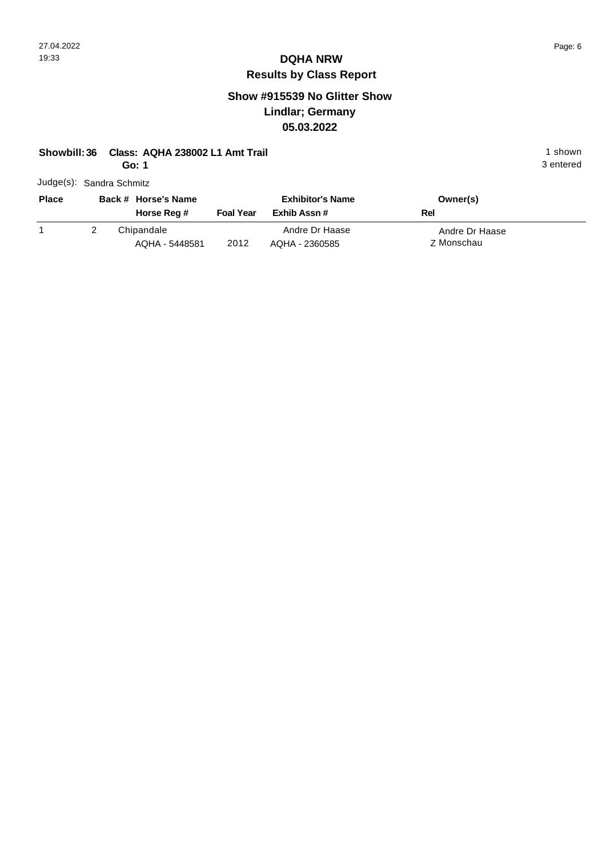3 entered

# **DQHA NRW Results by Class Report**

#### **Show #915539 No Glitter Show Lindlar; Germany 05.03.2022**

#### **Showbill: 36 Class: AQHA 238002 L1 Amt Trail 1 shown 1 shown 1 shown**

**Go: 1**

| <b>Place</b> | Back # Horse's Name<br>Horse Reg # | <b>Foal Year</b> | <b>Exhibitor's Name</b><br>Exhib Assn # | Owner(s)<br>Rel              |
|--------------|------------------------------------|------------------|-----------------------------------------|------------------------------|
|              | Chipandale<br>AQHA - 5448581       | 2012             | Andre Dr Haase<br>AQHA - 2360585        | Andre Dr Haase<br>Z Monschau |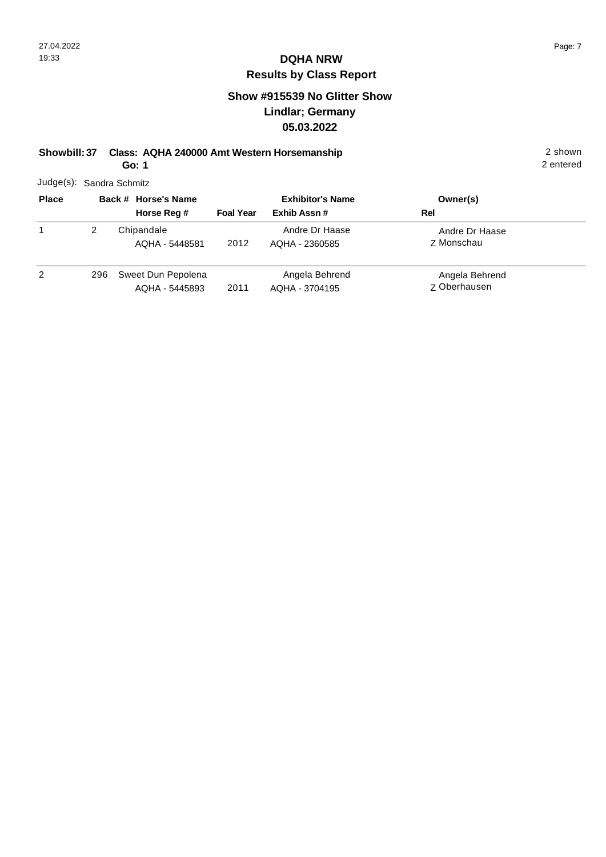#### **Show #915539 No Glitter Show Lindlar; Germany 05.03.2022**

**Showbill: 37 Class: AQHA 240000 Amt Western Horsemanship** 2 shown

**Go: 1**

|              | Judge(s): Sandra Schmitz |                         |          |
|--------------|--------------------------|-------------------------|----------|
| <b>Place</b> | Back # Horse's Name      | <b>Exhibitor's Name</b> | Owner(s) |

| . |     |                                      |                  |                                  | $-$                                   |  |
|---|-----|--------------------------------------|------------------|----------------------------------|---------------------------------------|--|
|   |     | Horse Reg #                          | <b>Foal Year</b> | Exhib Assn#                      | Rel                                   |  |
|   |     | Chipandale<br>AQHA - 5448581         | 2012             | Andre Dr Haase<br>AQHA - 2360585 | Andre Dr Haase<br>Z Monschau          |  |
| 2 | 296 | Sweet Dun Pepolena<br>AQHA - 5445893 | 2011             | Angela Behrend<br>AQHA - 3704195 | Angela Behrend<br><b>Z</b> Oberhausen |  |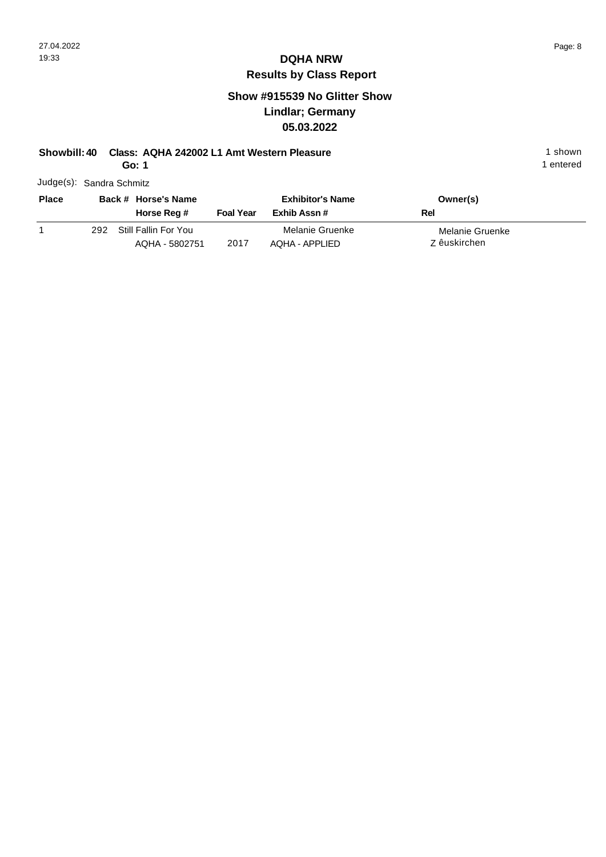#### **Show #915539 No Glitter Show Lindlar; Germany 05.03.2022**

#### **Showbill: 40 Class: AQHA 242002 L1 Amt Western Pleasure** 1 shown

**Go: 1**

1 entered

| <b>Place</b> |     | Back # Horse's Name                    |                  | <b>Exhibitor's Name</b>           | Owner(s)                        |
|--------------|-----|----------------------------------------|------------------|-----------------------------------|---------------------------------|
|              |     | Horse Reg #                            | <b>Foal Year</b> | Exhib Assn #                      | Rel                             |
|              | 292 | Still Fallin For You<br>AQHA - 5802751 | 2017             | Melanie Gruenke<br>AQHA - APPLIED | Melanie Gruenke<br>Z êuskirchen |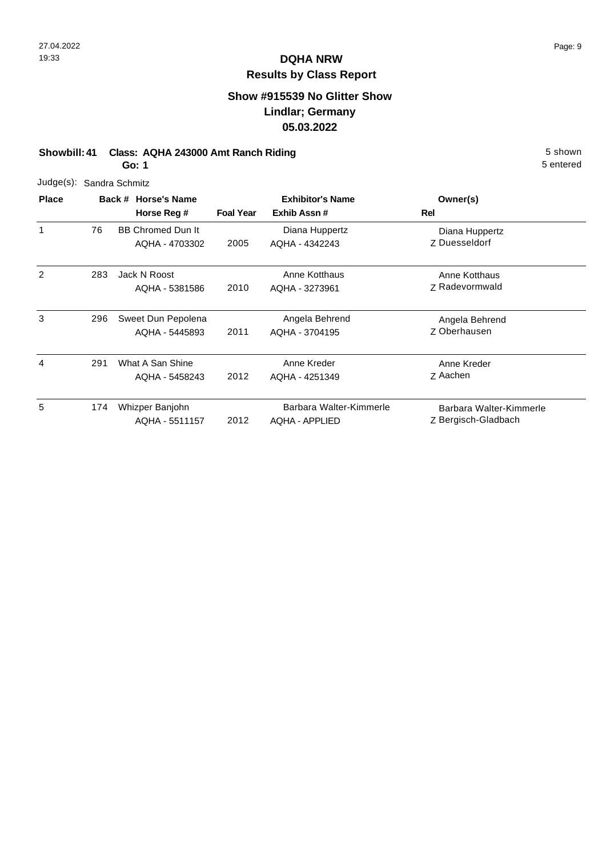## **Show #915539 No Glitter Show Lindlar; Germany 05.03.2022**

#### **Showbill: 41 Class: AQHA 243000 Amt Ranch Riding 5 Shown 5 shown 5 shown**

5 entered

**Go: 1**

| Judge(s):    |     | Sandra Schmitz                             |                  |                                                  |                                                |
|--------------|-----|--------------------------------------------|------------------|--------------------------------------------------|------------------------------------------------|
| <b>Place</b> |     | Back # Horse's Name<br>Horse Reg #         | <b>Foal Year</b> | <b>Exhibitor's Name</b><br>Exhib Assn#           | Owner(s)<br>Rel                                |
|              | 76  | <b>BB Chromed Dun It</b><br>AQHA - 4703302 | 2005             | Diana Huppertz<br>AQHA - 4342243                 | Diana Huppertz<br>Z Duesseldorf                |
| 2            | 283 | Jack N Roost<br>AQHA - 5381586             | 2010             | Anne Kotthaus<br>AQHA - 3273961                  | Anne Kotthaus<br>Z Radevormwald                |
| 3            | 296 | Sweet Dun Pepolena<br>AQHA - 5445893       | 2011             | Angela Behrend<br>AQHA - 3704195                 | Angela Behrend<br>Z Oberhausen                 |
| 4            | 291 | What A San Shine<br>AQHA - 5458243         | 2012             | Anne Kreder<br>AQHA - 4251349                    | Anne Kreder<br>Z Aachen                        |
| 5            | 174 | Whizper Banjohn<br>AQHA - 5511157          | 2012             | Barbara Walter-Kimmerle<br><b>AQHA - APPLIED</b> | Barbara Walter-Kimmerle<br>Z Bergisch-Gladbach |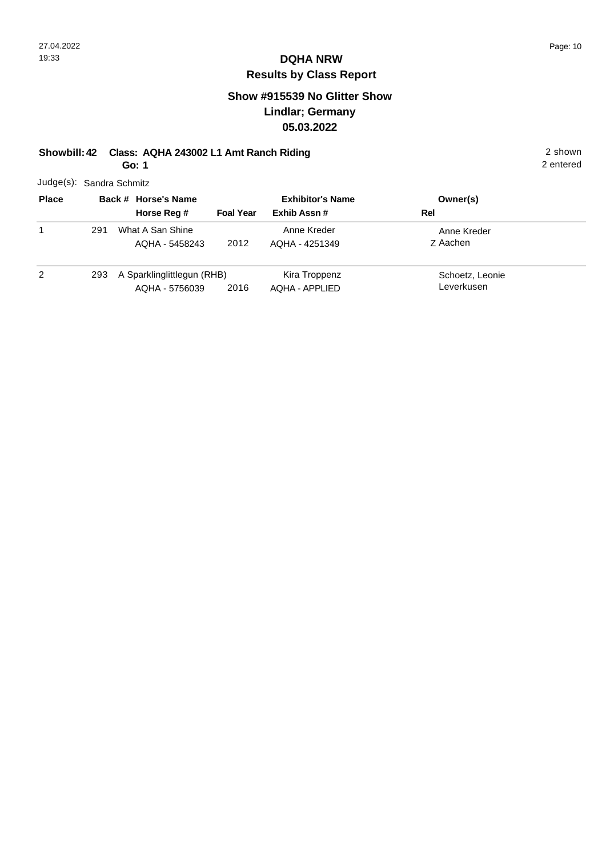#### **Show #915539 No Glitter Show Lindlar; Germany 05.03.2022**

#### **Showbill: 42 Class: AQHA 243002 L1 Amt Ranch Riding** 2 shown

**Go: 1**

|              | Judge(s): Sandra Schmitz |                  |                         |          |
|--------------|--------------------------|------------------|-------------------------|----------|
| <b>Place</b> | Back # Horse's Name      |                  | <b>Exhibitor's Name</b> | Owner(s) |
|              | Horse Rea #              | <b>Foal Year</b> | Fyhih Assn #            | Rel      |

|   |     | Horse Reg #                                  | <b>Foal Year</b> | Exhib Assn #                    | Rel                           |  |
|---|-----|----------------------------------------------|------------------|---------------------------------|-------------------------------|--|
|   | 291 | What A San Shine<br>AQHA - 5458243           | 2012             | Anne Kreder<br>AQHA - 4251349   | Anne Kreder<br>Z Aachen       |  |
| 2 | 293 | A Sparklinglittlegun (RHB)<br>AQHA - 5756039 | 2016             | Kira Troppenz<br>AQHA - APPLIED | Schoetz, Leonie<br>Leverkusen |  |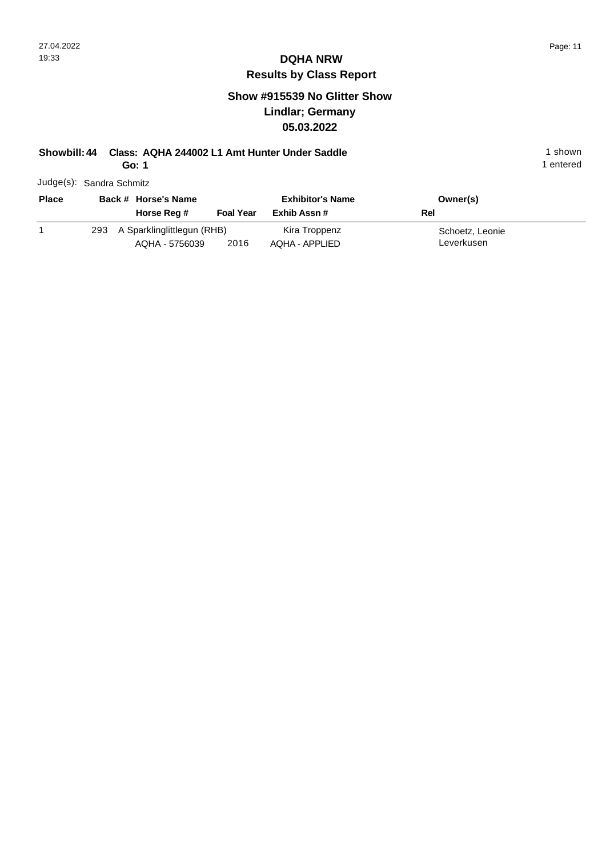#### **Show #915539 No Glitter Show Lindlar; Germany 05.03.2022**

### **Showbill: 44 Class: AQHA 244002 L1 Amt Hunter Under Saddle** 1 shown

**Go: 1**

1 entered

| <b>Place</b> |     | Back # Horse's Name                          |                  | <b>Exhibitor's Name</b>         | Owner(s)                      |
|--------------|-----|----------------------------------------------|------------------|---------------------------------|-------------------------------|
|              |     | Horse Reg #                                  | <b>Foal Year</b> | Exhib Assn #                    | Rel                           |
|              | 293 | A Sparklinglittlegun (RHB)<br>AQHA - 5756039 | 2016             | Kira Troppenz<br>AQHA - APPLIED | Schoetz, Leonie<br>Leverkusen |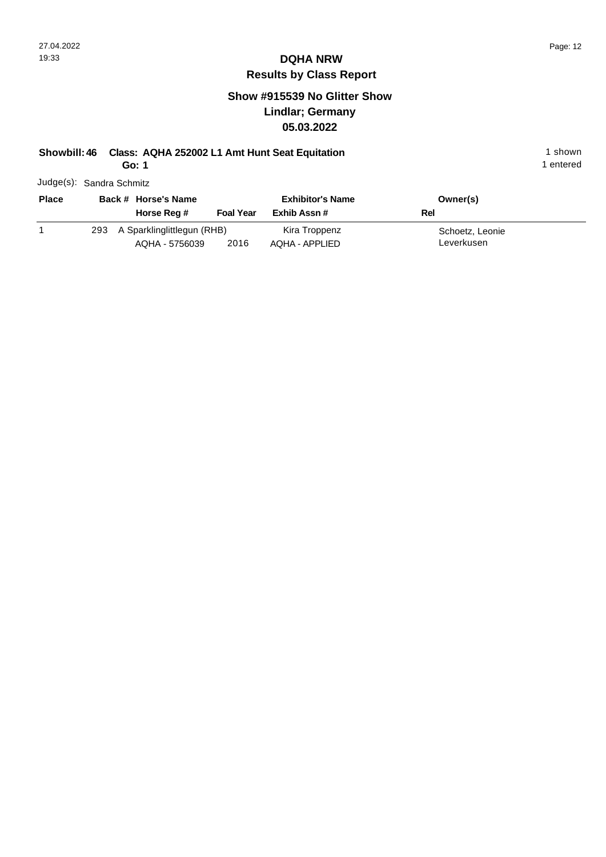#### **Show #915539 No Glitter Show Lindlar; Germany 05.03.2022**

#### **Showbill: 46 Class: AQHA 252002 L1 Amt Hunt Seat Equitation** 1 shown

**Go: 1**

1 entered

| <b>Place</b> |     | Back # Horse's Name                          |                  | <b>Exhibitor's Name</b>         | Owner(s)                      |
|--------------|-----|----------------------------------------------|------------------|---------------------------------|-------------------------------|
|              |     | Horse Reg #                                  | <b>Foal Year</b> | Exhib Assn #                    | Rel                           |
|              | 293 | A Sparklinglittlegun (RHB)<br>AQHA - 5756039 | 2016             | Kira Troppenz<br>AQHA - APPLIED | Schoetz, Leonie<br>Leverkusen |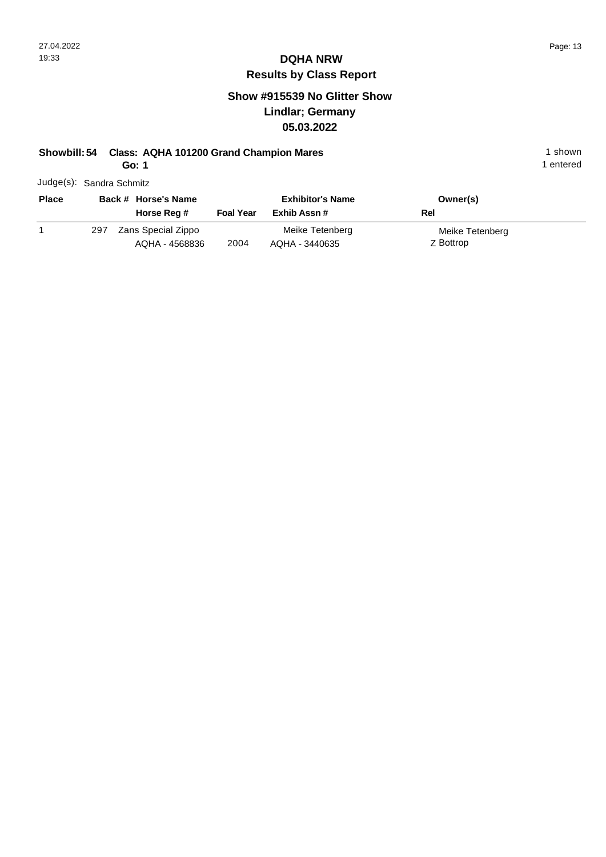#### **Show #915539 No Glitter Show Lindlar; Germany 05.03.2022**

#### **Showbill: 54 Class: AQHA 101200 Grand Champion Mares** 1 Shown 1 shown

**Go: 1**

1 entered

| <b>Place</b> |     | Back # Horse's Name |                  | <b>Exhibitor's Name</b> | Owner(s)        |
|--------------|-----|---------------------|------------------|-------------------------|-----------------|
|              |     | Horse Reg #         | <b>Foal Year</b> | Exhib Assn #            | Rel             |
|              | 297 | Zans Special Zippo  |                  | Meike Tetenberg         | Meike Tetenberg |
|              |     | AQHA - 4568836      | 2004             | AQHA - 3440635          | Z Bottrop       |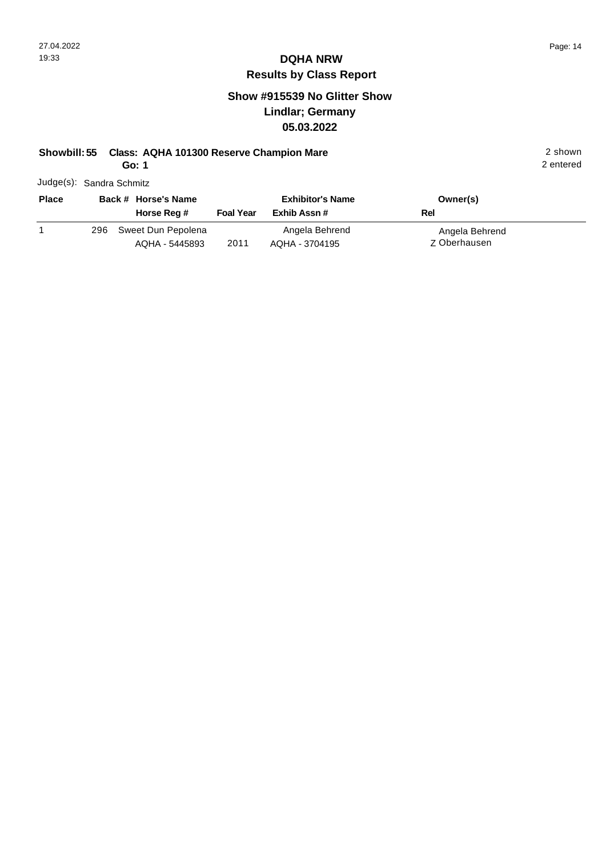#### **Show #915539 No Glitter Show Lindlar; Germany 05.03.2022**

#### **Showbill: 55 Class: AQHA 101300 Reserve Champion Mare** 2 shown

**Go: 1**

|  | Judge(s): Sandra Schmitz |
|--|--------------------------|
|--|--------------------------|

| <b>Place</b> |     | Back # Horse's Name |                  | <b>Exhibitor's Name</b> | Owner(s)       |
|--------------|-----|---------------------|------------------|-------------------------|----------------|
|              |     | Horse Reg #         | <b>Foal Year</b> | Exhib Assn #            | Rel            |
|              | 296 | Sweet Dun Pepolena  |                  | Angela Behrend          | Angela Behrend |
|              |     | AQHA - 5445893      | 2011             | AQHA - 3704195          | Z Oberhausen   |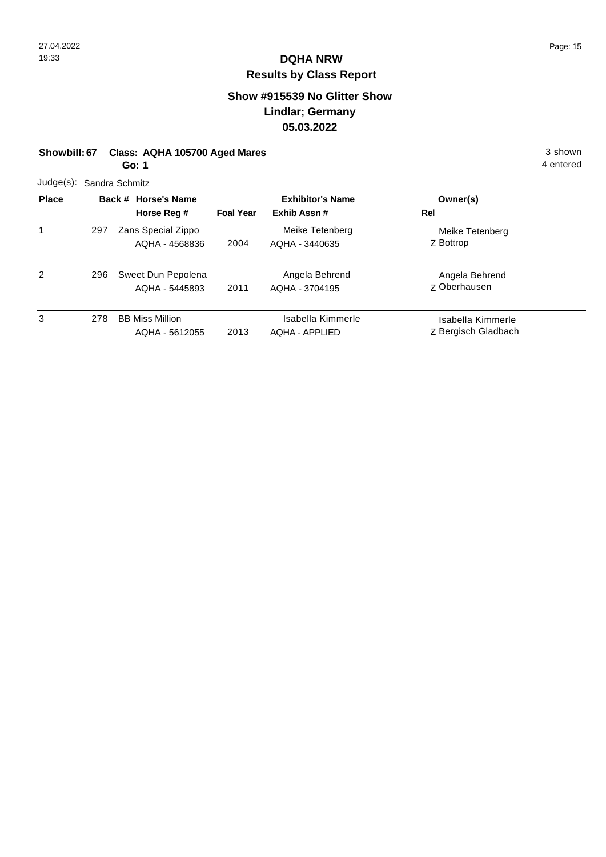### **Show #915539 No Glitter Show Lindlar; Germany 05.03.2022**

| Showbill: 67 Class: AQHA 105700 Aged Mares | 3 shown   |
|--------------------------------------------|-----------|
| Go: 1                                      | 4 entered |

| $P1 - - -$ | Deal 4 Heards            |
|------------|--------------------------|
|            | Judge(s): Sandra Schmitz |

| <b>Place</b> |     | Back # Horse's Name                      | <b>Exhibitor's Name</b> |                                     | Owner(s)                                 |
|--------------|-----|------------------------------------------|-------------------------|-------------------------------------|------------------------------------------|
|              |     | Horse Reg #                              | <b>Foal Year</b>        | Exhib Assn#                         | Rel                                      |
|              | 297 | Zans Special Zippo<br>AQHA - 4568836     | 2004                    | Meike Tetenberg<br>AQHA - 3440635   | Meike Tetenberg<br>Z Bottrop             |
| 2            | 296 | Sweet Dun Pepolena<br>AQHA - 5445893     | 2011                    | Angela Behrend<br>AQHA - 3704195    | Angela Behrend<br><b>Z</b> Oberhausen    |
| 3            | 278 | <b>BB Miss Million</b><br>AQHA - 5612055 | 2013                    | Isabella Kimmerle<br>AQHA - APPLIED | Isabella Kimmerle<br>Z Bergisch Gladbach |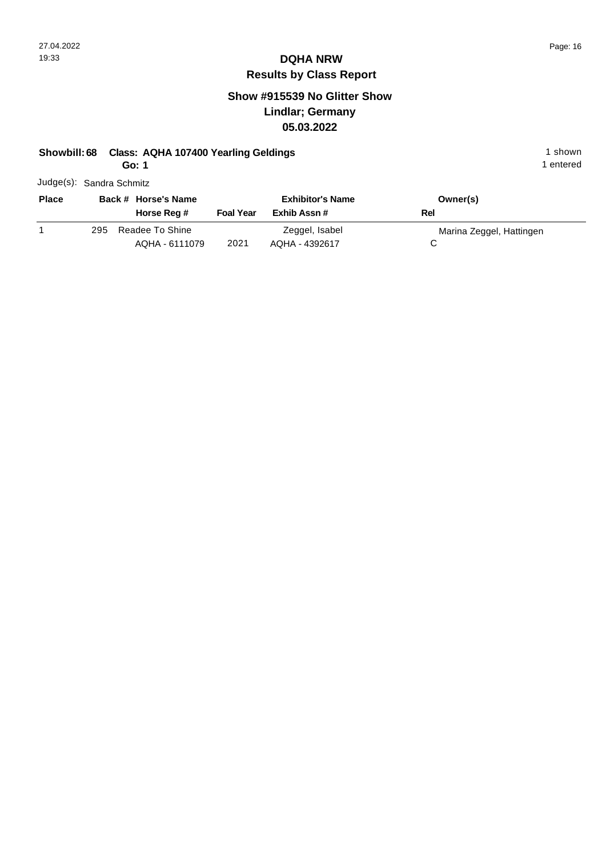#### **Show #915539 No Glitter Show Lindlar; Germany 05.03.2022**

#### **Showbill: 68 Class: AQHA 107400 Yearling Geldings** 1 Shown 1 shown

**Go: 1**

|  | Judge(s): Sandra Schmitz |
|--|--------------------------|
|--|--------------------------|

| Back # Horse's Name |                                   | <b>Exhibitor's Name</b> |                                  | Owner(s)                 |
|---------------------|-----------------------------------|-------------------------|----------------------------------|--------------------------|
|                     | Horse Reg #                       | <b>Foal Year</b>        | Exhib Assn #                     | Rel                      |
| 295                 | Readee To Shine<br>AQHA - 6111079 | 2021                    | Zeggel, Isabel<br>AQHA - 4392617 | Marina Zeggel, Hattingen |
|                     |                                   |                         |                                  |                          |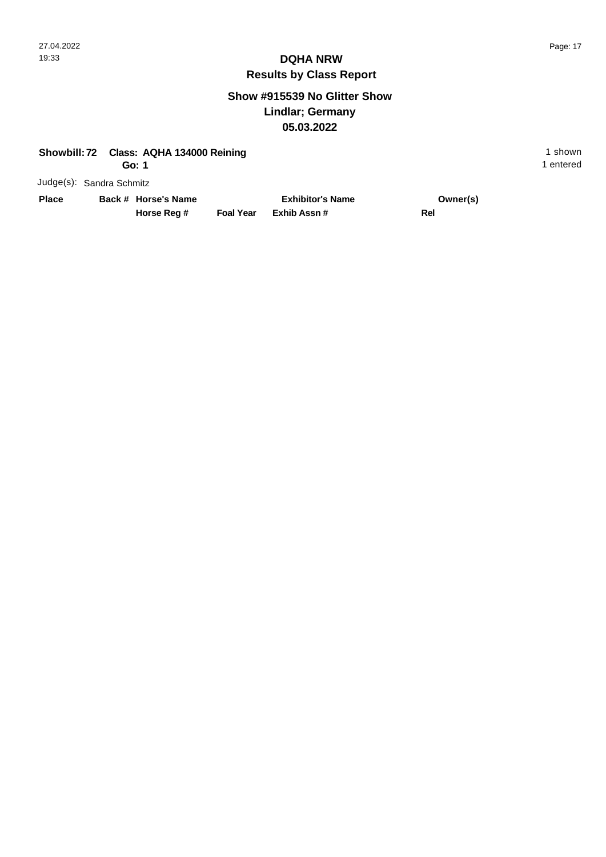#### **Show #915539 No Glitter Show Lindlar; Germany 05.03.2022**

| Showbill: 72 Class: AQHA 134000 Reining | 1 shown   |
|-----------------------------------------|-----------|
| Go: 1                                   | 1 entered |

Judge(s): Sandra Schmitz

**Back # Horse's Name Place Owner(s)**

**Horse Reg #**

**Exhib Assn # Foal Year Rel Exhibitor's Name**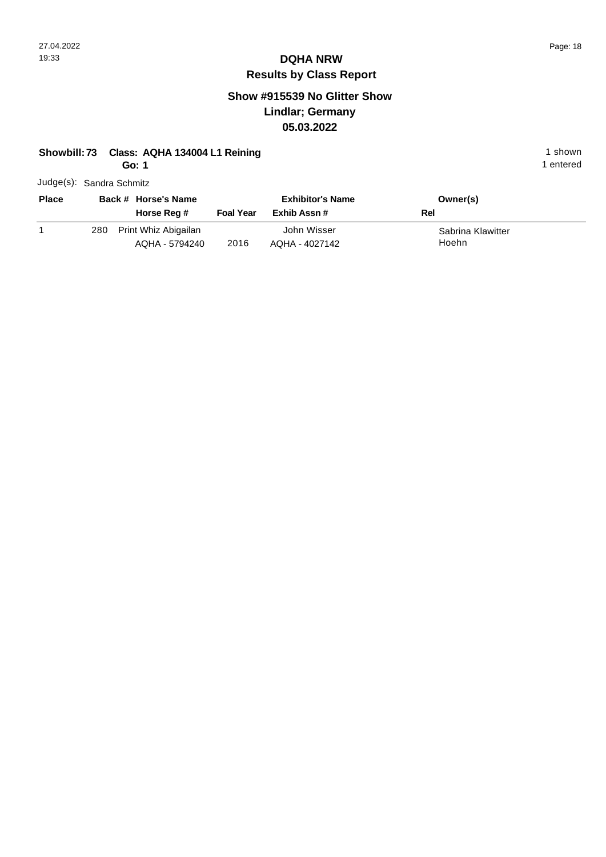1 entered

# **DQHA NRW Results by Class Report**

#### **Show #915539 No Glitter Show Lindlar; Germany 05.03.2022**

#### **Showbill: 73 Class: AQHA 134004 L1 Reining 1 shown 1 shown 1 shown**

**Go: 1**

| <b>Place</b> |     | Back # Horse's Name<br>Horse Reg #     | <b>Foal Year</b> | <b>Exhibitor's Name</b><br>Exhib Assn # | Owner(s)<br>Rel            |
|--------------|-----|----------------------------------------|------------------|-----------------------------------------|----------------------------|
|              | 280 | Print Whiz Abigailan<br>AQHA - 5794240 | 2016             | John Wisser<br>AQHA - 4027142           | Sabrina Klawitter<br>Hoehn |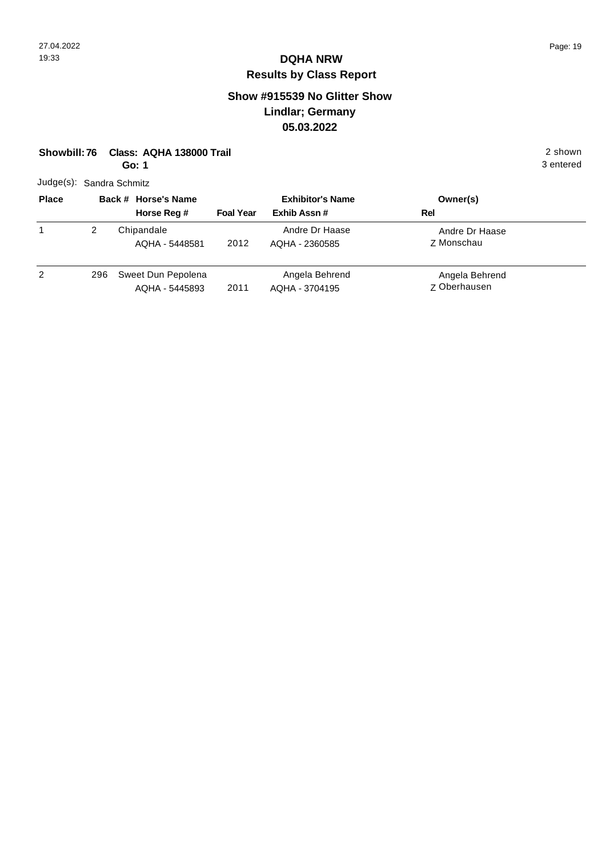### **Show #915539 No Glitter Show Lindlar; Germany 05.03.2022**

| Class: AQHA 138000 Trail<br>Showbill: 76<br>Go: 1 |                |  |                                      |                  |                                  |                                       | 2 shown<br>3 entered |
|---------------------------------------------------|----------------|--|--------------------------------------|------------------|----------------------------------|---------------------------------------|----------------------|
| Judge(s): Sandra Schmitz                          |                |  |                                      |                  |                                  |                                       |                      |
| <b>Place</b>                                      |                |  | Back # Horse's Name                  |                  | <b>Exhibitor's Name</b>          | Owner(s)                              |                      |
|                                                   |                |  | Horse Reg #                          | <b>Foal Year</b> | Exhib Assn#                      | Rel                                   |                      |
| 1                                                 | $\overline{2}$ |  | Chipandale<br>AQHA - 5448581         | 2012             | Andre Dr Haase<br>AQHA - 2360585 | Andre Dr Haase<br>Z Monschau          |                      |
| 2                                                 | 296            |  | Sweet Dun Pepolena<br>AQHA - 5445893 | 2011             | Angela Behrend<br>AQHA - 3704195 | Angela Behrend<br><b>Z</b> Oberhausen |                      |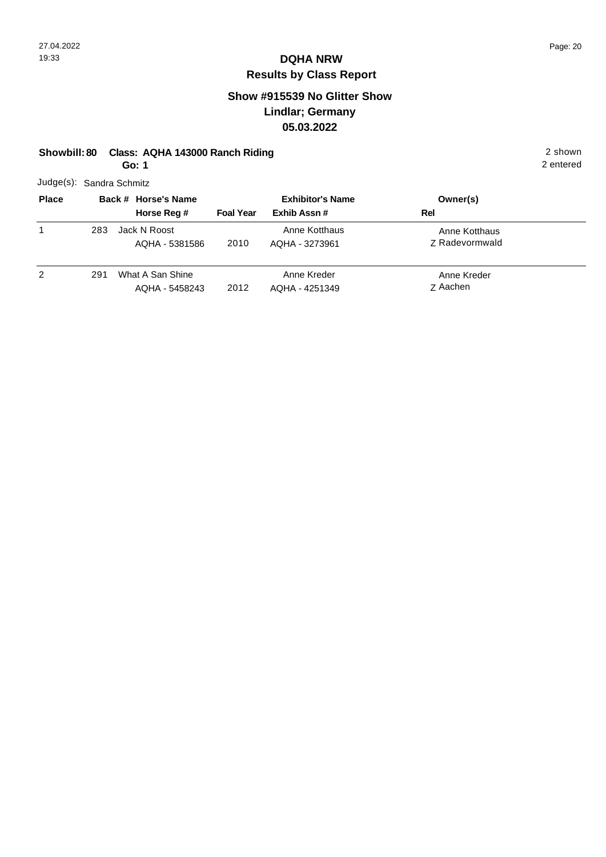### **Show #915539 No Glitter Show Lindlar; Germany 05.03.2022**

|  | Showbill: 80 Class: AQHA 143000 Ranch Riding | 2 shown |
|--|----------------------------------------------|---------|
|--|----------------------------------------------|---------|

**Go: 1**

| <b>Place</b> | <b>Rack # Horse's</b>    |  |  |  |
|--------------|--------------------------|--|--|--|
|              | Judge(s): Sandra Schmitz |  |  |  |

| <b>Place</b> |     | Back # Horse's Name                |                  | <b>Exhibitor's Name</b>         | Owner(s)                               |  |
|--------------|-----|------------------------------------|------------------|---------------------------------|----------------------------------------|--|
|              |     | Horse Reg #                        | <b>Foal Year</b> | Exhib Assn#                     | Rel                                    |  |
| 1            | 283 | Jack N Roost<br>AQHA - 5381586     | 2010             | Anne Kotthaus<br>AQHA - 3273961 | Anne Kotthaus<br><b>Z</b> Radevormwald |  |
| 2            | 291 | What A San Shine<br>AQHA - 5458243 | 2012             | Anne Kreder<br>AQHA - 4251349   | Anne Kreder<br>Z Aachen                |  |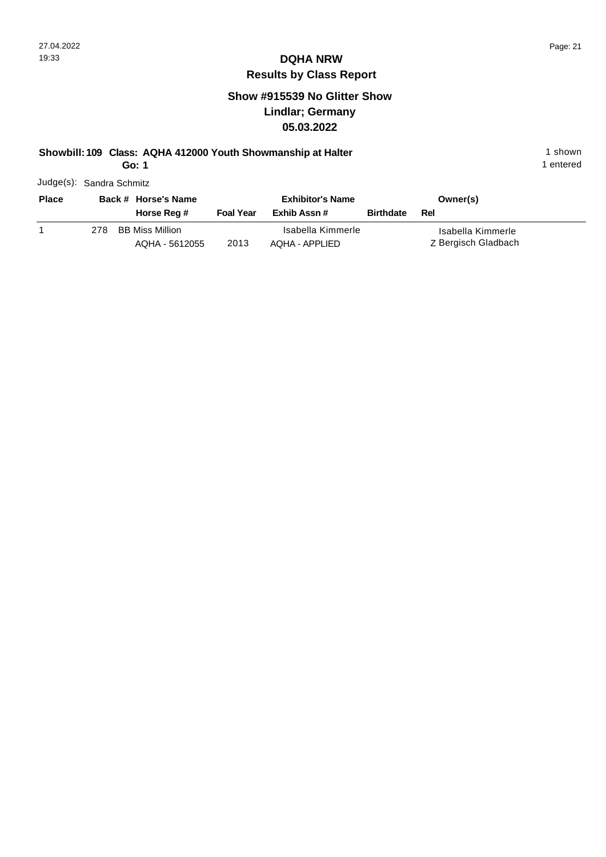#### **Show #915539 No Glitter Show Lindlar; Germany 05.03.2022**

#### **Showbill: 109 Class: AQHA 412000 Youth Showmanship at Halter** 1 **Shown** 1 shown

**Go: 1**

| <b>Place</b> |     | Back # Horse's Name                      |                  | <b>Exhibitor's Name</b>             |                  | Owner(s)                                 |
|--------------|-----|------------------------------------------|------------------|-------------------------------------|------------------|------------------------------------------|
|              |     | Horse Reg #                              | <b>Foal Year</b> | Exhib Assn #                        | <b>Birthdate</b> | Rel                                      |
|              | 278 | <b>BB Miss Million</b><br>AQHA - 5612055 | 2013             | Isabella Kimmerle<br>AQHA - APPLIED |                  | Isabella Kimmerle<br>Z Bergisch Gladbach |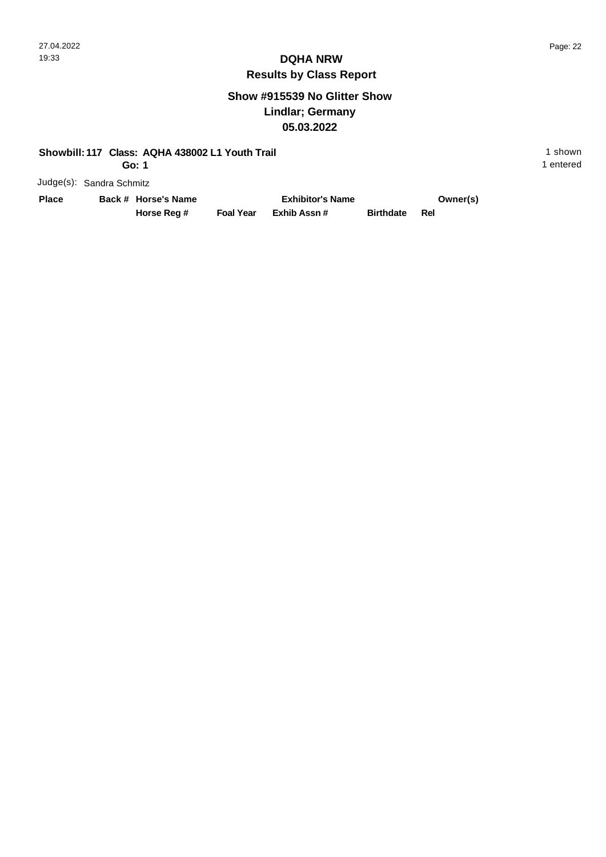1 entered

#### **DQHA NRW Results by Class Report**

#### **Show #915539 No Glitter Show Lindlar; Germany 05.03.2022**

#### **Showbill: 117 Class: AQHA 438002 L1 Youth Trail 1 shown 1 shown 1 shown**

**Go: 1**

| Place | Back # Horse's Name |                  | <b>Exhibitor's Name</b> | Owner(s)             |  |
|-------|---------------------|------------------|-------------------------|----------------------|--|
|       | Horse Reg #         | <b>Foal Year</b> | Exhib Assn #            | <b>Birthdate Rel</b> |  |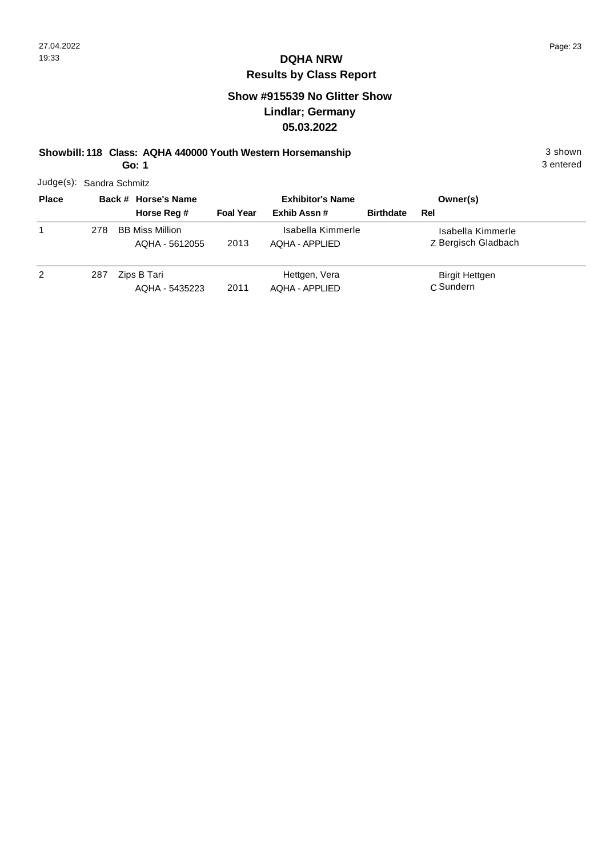#### **Show #915539 No Glitter Show Lindlar; Germany 05.03.2022**

#### **Showbill: 118 Class: AQHA 440000 Youth Western Horsemanship** 3 shown 3 shown

3 entered

**Go: 1**

|              | Judge(s): Sandra Schmitz |                                          |                  |                                     |                  |                                          |  |  |
|--------------|--------------------------|------------------------------------------|------------------|-------------------------------------|------------------|------------------------------------------|--|--|
| <b>Place</b> |                          | Back # Horse's Name                      |                  | <b>Exhibitor's Name</b>             |                  | Owner(s)                                 |  |  |
|              |                          | Horse Reg #                              | <b>Foal Year</b> | Exhib Assn#                         | <b>Birthdate</b> | Rel                                      |  |  |
|              | 278                      | <b>BB Miss Million</b><br>AQHA - 5612055 | 2013             | Isabella Kimmerle<br>AOHA - APPLIED |                  | Isabella Kimmerle<br>Z Bergisch Gladbach |  |  |
| 2            | 287                      | Zips B Tari<br>AQHA - 5435223            | 2011             | Hettgen, Vera<br>AOHA - APPLIED     |                  | Birgit Hettgen<br>C Sundern              |  |  |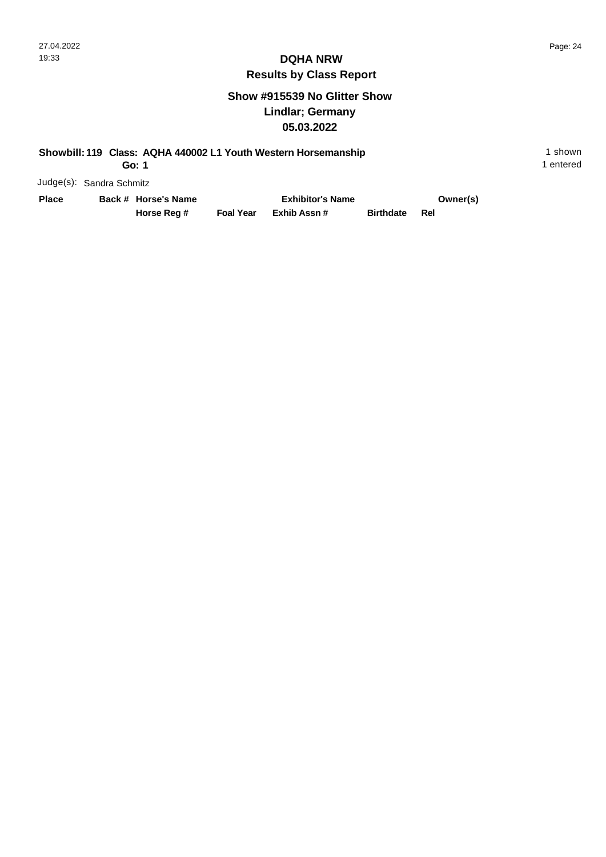1 entered

#### **DQHA NRW Results by Class Report**

#### **Show #915539 No Glitter Show Lindlar; Germany 05.03.2022**

#### **Showbill: 119 Class: AQHA 440002 L1 Youth Western Horsemanship** 1 shown 1 shown

**Go: 1**

| Place | Back # Horse's Name |                  | <b>Exhibitor's Name</b> |                      | Owner(s) |
|-------|---------------------|------------------|-------------------------|----------------------|----------|
|       | Horse Reg #         | <b>Foal Year</b> | Exhib Assn #            | <b>Birthdate Rel</b> |          |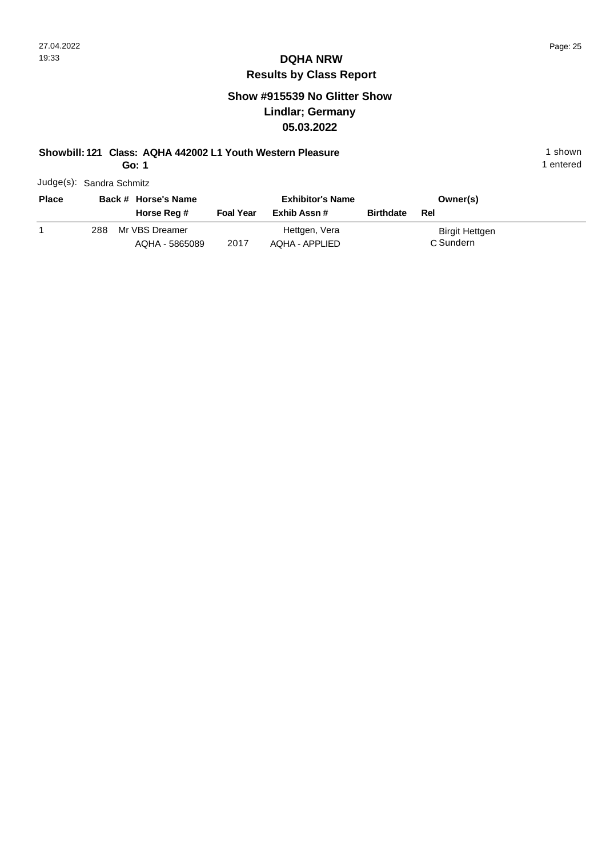#### **Show #915539 No Glitter Show Lindlar; Germany 05.03.2022**

#### **Showbill: 121 Class: AQHA 442002 L1 Youth Western Pleasure** 1 **Shown** 1 shown

**Go: 1**

| Judge(s): Sandra Schmitz |  |
|--------------------------|--|
|                          |  |

| <b>Place</b> |      | Back # Horse's Name              |                  | <b>Exhibitor's Name</b>         |                  | Owner(s)                    |  |
|--------------|------|----------------------------------|------------------|---------------------------------|------------------|-----------------------------|--|
|              |      | Horse Reg #                      | <b>Foal Year</b> | Exhib Assn #                    | <b>Birthdate</b> | Rel                         |  |
|              | 288. | Mr VBS Dreamer<br>AQHA - 5865089 | 2017             | Hettgen, Vera<br>AQHA - APPLIED |                  | Birgit Hettgen<br>C Sundern |  |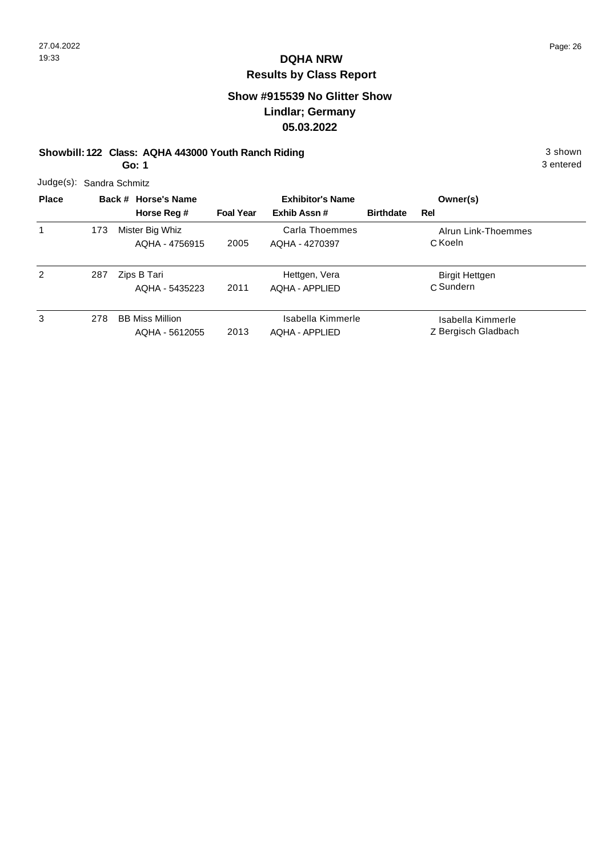#### **Show #915539 No Glitter Show Lindlar; Germany 05.03.2022**

#### **Showbill: 122 Class: AQHA 443000 Youth Ranch Riding 3 shown 3 shown 3 shown**

3 entered

**Go: 1**

| Judge(s): Sandra Schmitz |     |                                          |                  |                                            |                  |                                          |  |
|--------------------------|-----|------------------------------------------|------------------|--------------------------------------------|------------------|------------------------------------------|--|
| <b>Place</b>             |     | Back # Horse's Name                      |                  | <b>Exhibitor's Name</b>                    |                  | Owner(s)                                 |  |
|                          |     | Horse Reg #                              | <b>Foal Year</b> | Exhib Assn#                                | <b>Birthdate</b> | Rel                                      |  |
| 1                        | 173 | Mister Big Whiz<br>AQHA - 4756915        | 2005             | Carla Thoemmes<br>AQHA - 4270397           |                  | Alrun Link-Thoemmes<br>C Koeln           |  |
| 2                        | 287 | Zips B Tari<br>AQHA - 5435223            | 2011             | Hettgen, Vera<br><b>AQHA - APPLIED</b>     |                  | <b>Birgit Hettgen</b><br>C Sundern       |  |
| 3                        | 278 | <b>BB Miss Million</b><br>AQHA - 5612055 | 2013             | Isabella Kimmerle<br><b>AQHA - APPLIED</b> |                  | Isabella Kimmerle<br>Z Bergisch Gladbach |  |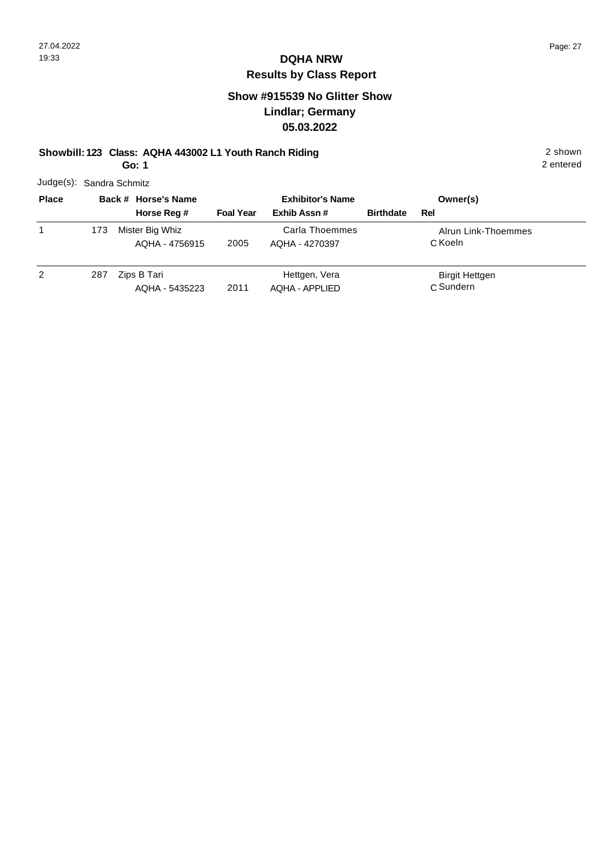#### **Show #915539 No Glitter Show Lindlar; Germany 05.03.2022**

#### **Showbill: 123 Class: AQHA 443002 L1 Youth Ranch Riding** 2 shown

**Go: 1**

| Judge(s): Sandra Schmitz |  |
|--------------------------|--|
|                          |  |

| <b>Place</b> |     | Back # Horse's Name               |                  | <b>Exhibitor's Name</b>                |                  | Owner(s)                           |  |
|--------------|-----|-----------------------------------|------------------|----------------------------------------|------------------|------------------------------------|--|
|              |     | Horse Reg #                       | <b>Foal Year</b> | Exhib Assn#                            | <b>Birthdate</b> | Rel                                |  |
| 1            | 173 | Mister Big Whiz<br>AQHA - 4756915 | 2005             | Carla Thoemmes<br>AQHA - 4270397       |                  | Alrun Link-Thoemmes<br>C Koeln     |  |
| 2            | 287 | Zips B Tari<br>AQHA - 5435223     | 2011             | Hettgen, Vera<br><b>AQHA - APPLIED</b> |                  | <b>Birgit Hettgen</b><br>C Sundern |  |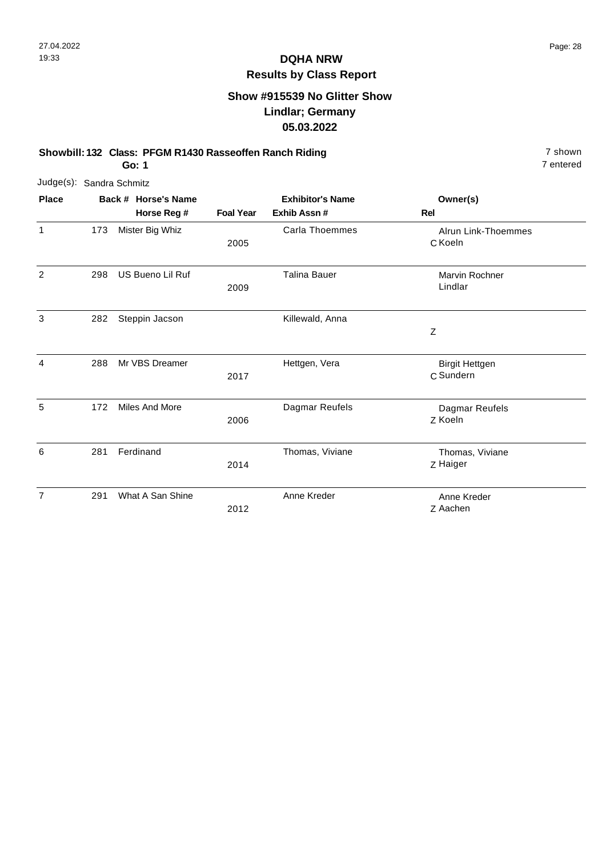#### **Show #915539 No Glitter Show Lindlar; Germany 05.03.2022**

#### **Showbill: 132 Class: PFGM R1430 Rasseoffen Ranch Riding 7 shown 7 shown**

7 entered

**Go: 1**

| Judge(s): Sandra Schmitz |     |                     |                  |                         |                                    |
|--------------------------|-----|---------------------|------------------|-------------------------|------------------------------------|
| <b>Place</b>             |     | Back # Horse's Name |                  | <b>Exhibitor's Name</b> | Owner(s)                           |
|                          |     | Horse Reg #         | <b>Foal Year</b> | Exhib Assn #            | Rel                                |
| $\mathbf{1}$             | 173 | Mister Big Whiz     | 2005             | Carla Thoemmes          | Alrun Link-Thoemmes<br>C Koeln     |
| $\overline{2}$           | 298 | US Bueno Lil Ruf    | 2009             | <b>Talina Bauer</b>     | Marvin Rochner<br>Lindlar          |
| 3                        | 282 | Steppin Jacson      |                  | Killewald, Anna         | $\mathsf Z$                        |
| 4                        | 288 | Mr VBS Dreamer      | 2017             | Hettgen, Vera           | <b>Birgit Hettgen</b><br>C Sundern |
| 5                        | 172 | Miles And More      | 2006             | Dagmar Reufels          | Dagmar Reufels<br>Z Koeln          |
| 6                        | 281 | Ferdinand           | 2014             | Thomas, Viviane         | Thomas, Viviane<br>Z Haiger        |
| $\overline{7}$           | 291 | What A San Shine    | 2012             | Anne Kreder             | Anne Kreder<br>Z Aachen            |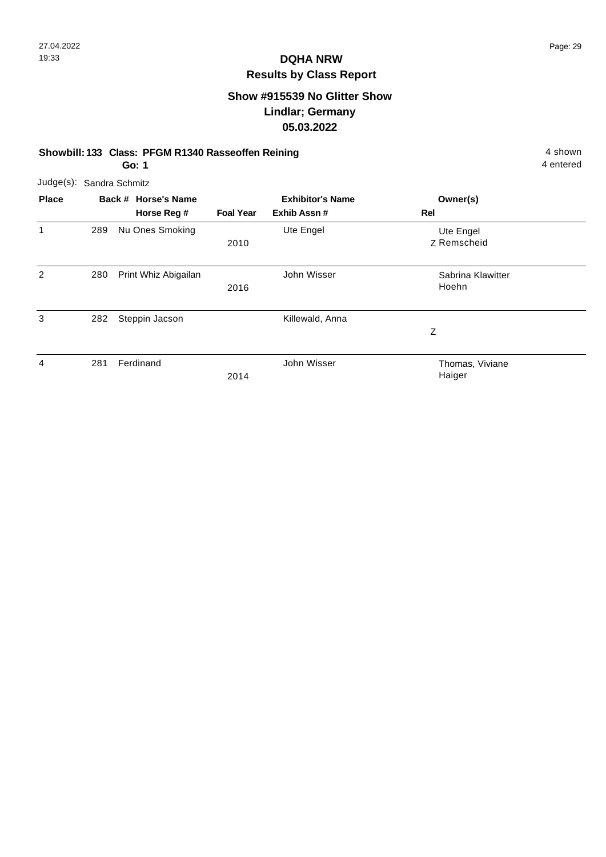#### **Show #915539 No Glitter Show Lindlar; Germany 05.03.2022**

#### **Showbill: 133 Class: PFGM R1340 Rasseoffen Reining 4 shown 4 shown**

4 entered

**Go: 1**

| Judge(s):    |     | Sandra Schmitz                     |                  |                                        |                            |  |
|--------------|-----|------------------------------------|------------------|----------------------------------------|----------------------------|--|
| <b>Place</b> |     | Back # Horse's Name<br>Horse Reg # | <b>Foal Year</b> | <b>Exhibitor's Name</b><br>Exhib Assn# | Owner(s)<br><b>Rel</b>     |  |
| 1            | 289 | Nu Ones Smoking                    | 2010             | Ute Engel                              | Ute Engel<br>Z Remscheid   |  |
| 2            | 280 | Print Whiz Abigailan               | 2016             | John Wisser                            | Sabrina Klawitter<br>Hoehn |  |
| 3            | 282 | Steppin Jacson                     |                  | Killewald, Anna                        | Ζ                          |  |
| 4            | 281 | Ferdinand                          | 2014             | John Wisser                            | Thomas, Viviane<br>Haiger  |  |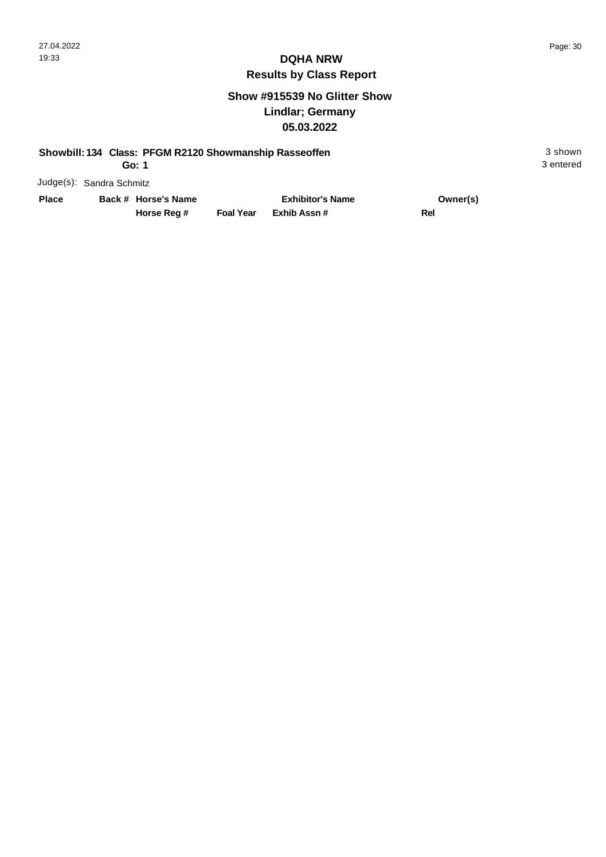#### **Show #915539 No Glitter Show Lindlar; Germany 05.03.2022**

#### **Showbill: 134 Class: PFGM R2120 Showmanship Rasseoffen** 3 shown

**Go: 1**

Judge(s): Sandra Schmitz

**Back # Horse's Name Place Owner(s)**

**Horse Reg #**

**Exhib Assn # Foal Year Rel Exhibitor's Name**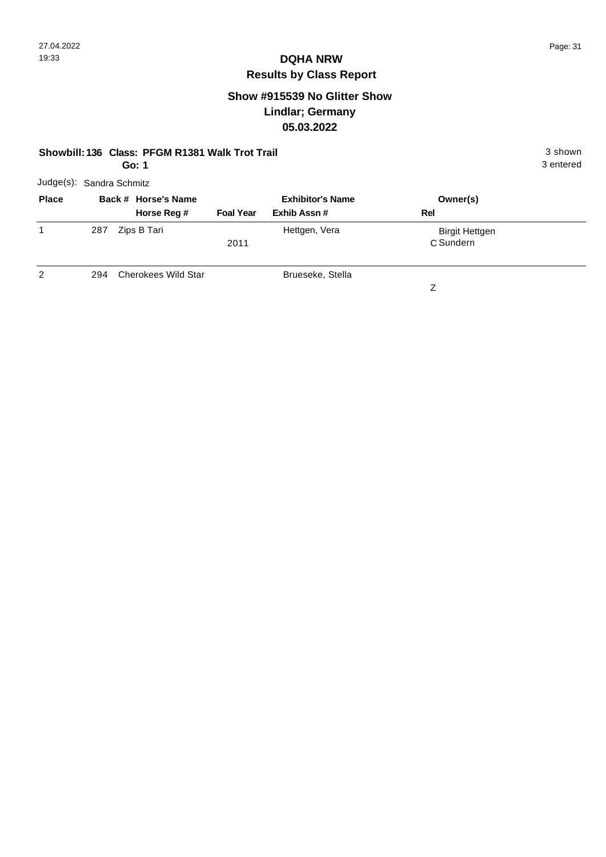### **Show #915539 No Glitter Show Lindlar; Germany 05.03.2022**

|                          | Showbill: 136 Class: PFGM R1381 Walk Trot Trail<br>3 entered<br>Go: 1 |                     |                  |                         |                       |  |  |  |  |
|--------------------------|-----------------------------------------------------------------------|---------------------|------------------|-------------------------|-----------------------|--|--|--|--|
| Judge(s): Sandra Schmitz |                                                                       |                     |                  |                         |                       |  |  |  |  |
| <b>Place</b>             |                                                                       | Back # Horse's Name |                  | <b>Exhibitor's Name</b> | Owner(s)              |  |  |  |  |
|                          |                                                                       | Horse Reg #         | <b>Foal Year</b> | Exhib Assn#             | Rel                   |  |  |  |  |
| 1                        | 287                                                                   | Zips B Tari         |                  | Hettgen, Vera           | <b>Birgit Hettgen</b> |  |  |  |  |
|                          |                                                                       |                     | 2011             |                         | C Sundern             |  |  |  |  |
|                          |                                                                       |                     |                  |                         |                       |  |  |  |  |

 $\overline{2}$ 294 Cherokees Wild Star Brueseke, Stella

Z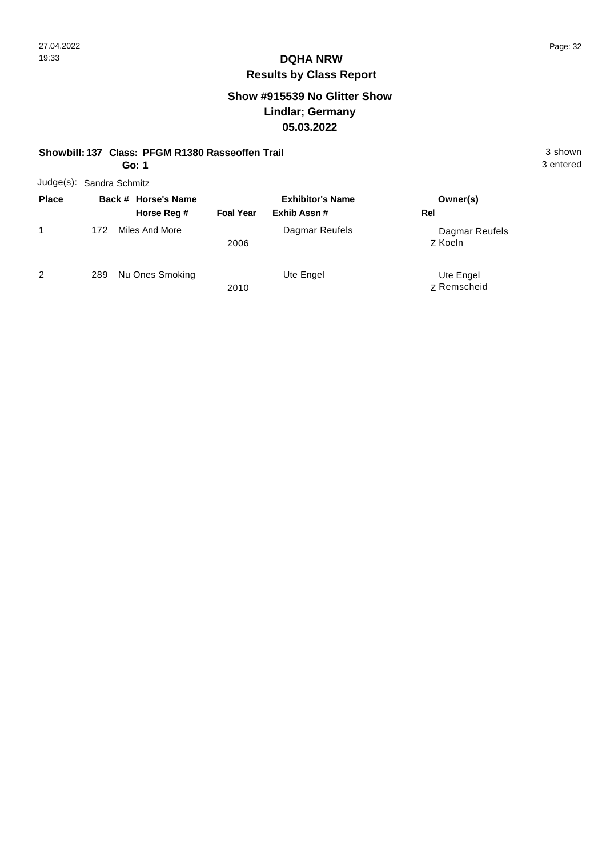### **Show #915539 No Glitter Show Lindlar; Germany 05.03.2022**

#### **Showbill: 137 Class: PFGM R1380 Rasseoffen Trail** 3 shown

**Go: 1**

|              | Judge(s): Sandra Schmitz |                                    |                  |                                        |                           |  |  |
|--------------|--------------------------|------------------------------------|------------------|----------------------------------------|---------------------------|--|--|
| <b>Place</b> |                          | Back # Horse's Name<br>Horse Reg # | <b>Foal Year</b> | <b>Exhibitor's Name</b><br>Exhib Assn# | Owner(s)<br>Rel           |  |  |
|              | 172                      | Miles And More                     | 2006             | Dagmar Reufels                         | Dagmar Reufels<br>Z Koeln |  |  |
| 2            | 289                      | Nu Ones Smoking                    | 2010             | Ute Engel                              | Ute Engel<br>Z Remscheid  |  |  |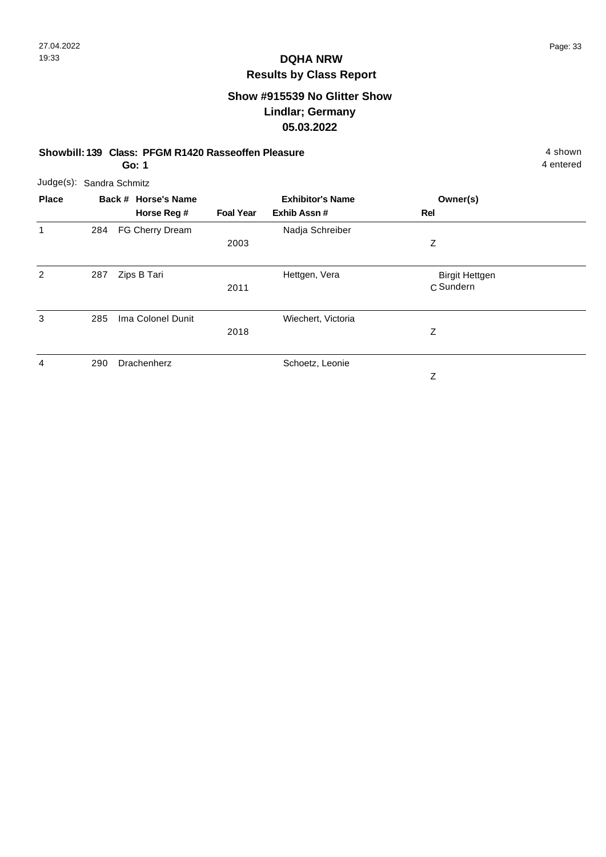#### **Show #915539 No Glitter Show Lindlar; Germany 05.03.2022**

#### **Showbill: 139 Class: PFGM R1420 Rasseoffen Pleasure** 4 shown

4 entered

**Go: 1**

| Judge(s): Sandra Schmitz |     |                     |                  |                         |                                    |  |  |  |
|--------------------------|-----|---------------------|------------------|-------------------------|------------------------------------|--|--|--|
| <b>Place</b>             |     | Back # Horse's Name |                  | <b>Exhibitor's Name</b> | Owner(s)                           |  |  |  |
|                          |     | Horse Reg #         | <b>Foal Year</b> | Exhib Assn #            | Rel                                |  |  |  |
|                          | 284 | FG Cherry Dream     |                  | Nadja Schreiber         |                                    |  |  |  |
|                          |     |                     | 2003             |                         | Z                                  |  |  |  |
| 2                        | 287 | Zips B Tari         | 2011             | Hettgen, Vera           | <b>Birgit Hettgen</b><br>C Sundern |  |  |  |
| 3                        | 285 | Ima Colonel Dunit   | 2018             | Wiechert, Victoria      | Ζ                                  |  |  |  |
| 4                        | 290 | Drachenherz         |                  | Schoetz, Leonie         | Ζ                                  |  |  |  |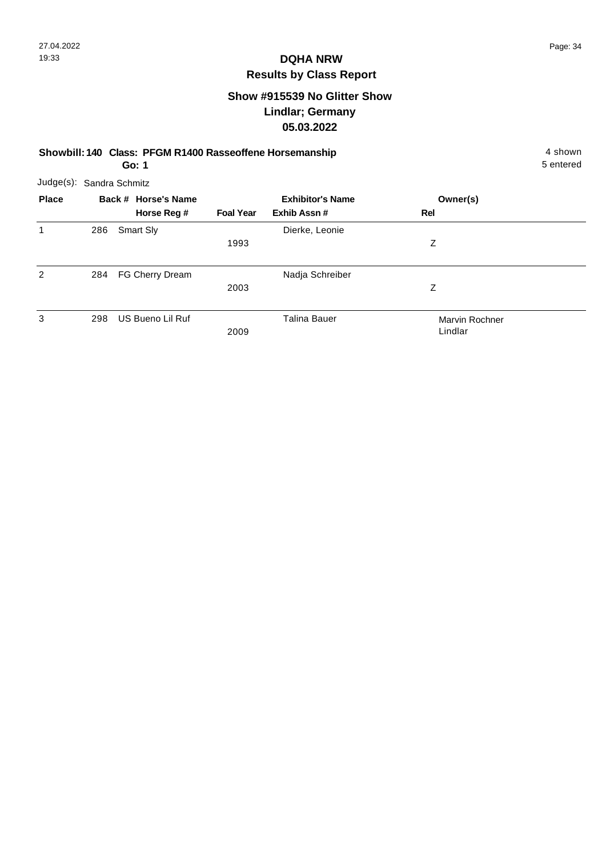#### **Show #915539 No Glitter Show Lindlar; Germany 05.03.2022**

**Showbill: 140 Class: PFGM R1400 Rasseoffene Horsemanship** 4 shown 4 shown **Go: 1**

|                | Judge(s): Sandra Schmitz |                     |                  |                         |                |  |  |  |  |
|----------------|--------------------------|---------------------|------------------|-------------------------|----------------|--|--|--|--|
| <b>Place</b>   |                          | Back # Horse's Name |                  | <b>Exhibitor's Name</b> | Owner(s)       |  |  |  |  |
|                |                          | Horse Reg #         | <b>Foal Year</b> | Exhib Assn#             | <b>Rel</b>     |  |  |  |  |
| 1              | 286                      | Smart Sly           |                  | Dierke, Leonie          |                |  |  |  |  |
|                |                          |                     | 1993             |                         | Z              |  |  |  |  |
| $\overline{2}$ | 284                      | FG Cherry Dream     |                  | Nadja Schreiber         |                |  |  |  |  |
|                |                          |                     | 2003             |                         | Ζ              |  |  |  |  |
| 3              | 298                      | US Bueno Lil Ruf    |                  | <b>Talina Bauer</b>     | Marvin Rochner |  |  |  |  |
|                |                          |                     | 2009             |                         | Lindlar        |  |  |  |  |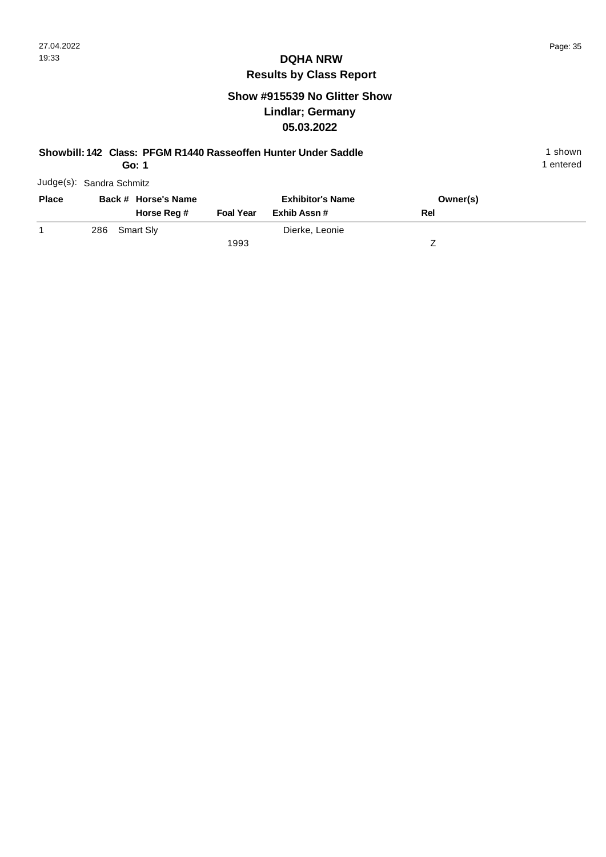## **Show #915539 No Glitter Show Lindlar; Germany 05.03.2022**

| Showbill: 142 Class: PFGM R1440 Rasseoffen Hunter Under Saddle |     |  |                     |                         |                |     |           |  |
|----------------------------------------------------------------|-----|--|---------------------|-------------------------|----------------|-----|-----------|--|
| Go: 1                                                          |     |  |                     |                         |                |     | 1 entered |  |
| Judge(s): Sandra Schmitz                                       |     |  |                     |                         |                |     |           |  |
| <b>Place</b>                                                   |     |  | Back # Horse's Name | <b>Exhibitor's Name</b> | Owner(s)       |     |           |  |
|                                                                |     |  | Horse Reg #         | <b>Foal Year</b>        | Exhib Assn#    | Rel |           |  |
|                                                                | 286 |  | Smart Sly           |                         | Dierke, Leonie |     |           |  |
|                                                                |     |  |                     | 1993                    |                |     |           |  |